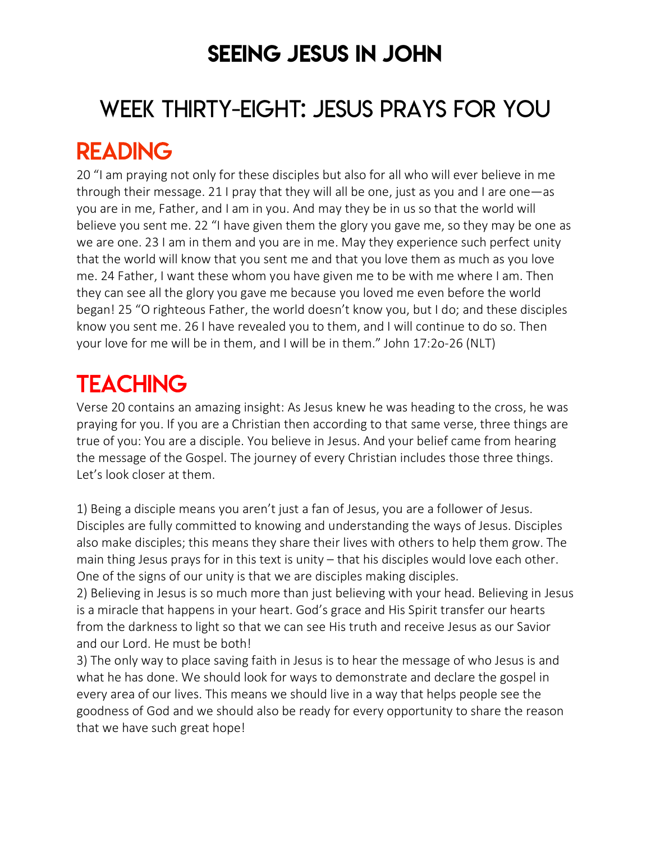### SEEING JESUS IN JOHN

# WEEK THIRTY-EIGHT: JESUS PRAYS FOR YOU READING

20 "I am praying not only for these disciples but also for all who will ever believe in me through their message. 21 I pray that they will all be one, just as you and I are one—as you are in me, Father, and I am in you. And may they be in us so that the world will believe you sent me. 22 "I have given them the glory you gave me, so they may be one as we are one. 23 I am in them and you are in me. May they experience such perfect unity that the world will know that you sent me and that you love them as much as you love me. 24 Father, I want these whom you have given me to be with me where I am. Then they can see all the glory you gave me because you loved me even before the world began! 25 "O righteous Father, the world doesn't know you, but I do; and these disciples know you sent me. 26 I have revealed you to them, and I will continue to do so. Then your love for me will be in them, and I will be in them." John 17:2o-26 (NLT)

## **TEACHING**

Verse 20 contains an amazing insight: As Jesus knew he was heading to the cross, he was praying for you. If you are a Christian then according to that same verse, three things are true of you: You are a disciple. You believe in Jesus. And your belief came from hearing the message of the Gospel. The journey of every Christian includes those three things. Let's look closer at them.

1) Being a disciple means you aren't just a fan of Jesus, you are a follower of Jesus. Disciples are fully committed to knowing and understanding the ways of Jesus. Disciples also make disciples; this means they share their lives with others to help them grow. The main thing Jesus prays for in this text is unity – that his disciples would love each other. One of the signs of our unity is that we are disciples making disciples.

2) Believing in Jesus is so much more than just believing with your head. Believing in Jesus is a miracle that happens in your heart. God's grace and His Spirit transfer our hearts from the darkness to light so that we can see His truth and receive Jesus as our Savior and our Lord. He must be both!

3) The only way to place saving faith in Jesus is to hear the message of who Jesus is and what he has done. We should look for ways to demonstrate and declare the gospel in every area of our lives. This means we should live in a way that helps people see the goodness of God and we should also be ready for every opportunity to share the reason that we have such great hope!